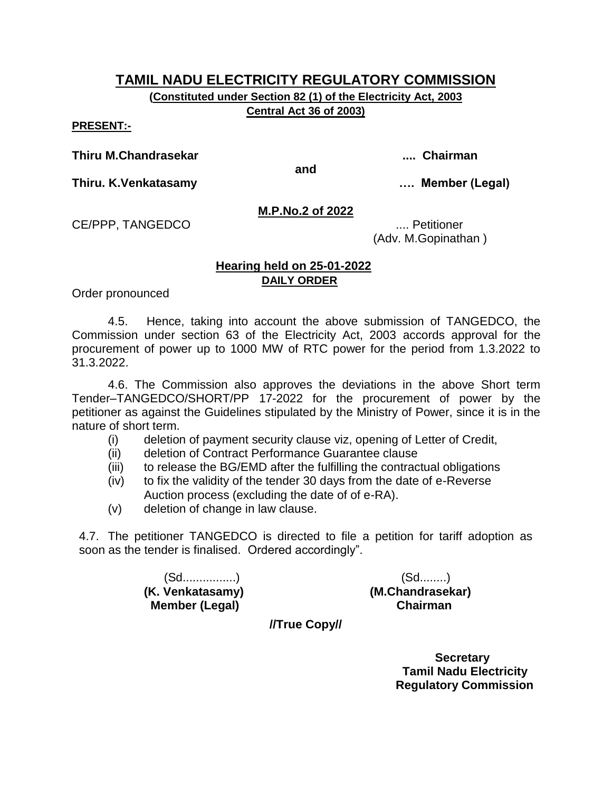**(Constituted under Section 82 (1) of the Electricity Act, 2003 Central Act 36 of 2003)**

**PRESENT:-**

**Thiru M.Chandrasekar .... Chairman**

**and**

**Thiru. K.Venkatasamy …. Member (Legal)**

**M.P.No.2 of 2022**

CE/PPP, TANGEDCO .... Petitioner

(Adv. M.Gopinathan )

## **Hearing held on 25-01-2022 DAILY ORDER**

Order pronounced

4.5. Hence, taking into account the above submission of TANGEDCO, the Commission under section 63 of the Electricity Act, 2003 accords approval for the procurement of power up to 1000 MW of RTC power for the period from 1.3.2022 to 31.3.2022.

4.6. The Commission also approves the deviations in the above Short term Tender–TANGEDCO/SHORT/PP 17-2022 for the procurement of power by the petitioner as against the Guidelines stipulated by the Ministry of Power, since it is in the nature of short term.

- (i) deletion of payment security clause viz, opening of Letter of Credit,
- (ii) deletion of Contract Performance Guarantee clause
- (iii) to release the BG/EMD after the fulfilling the contractual obligations
- (iv) to fix the validity of the tender 30 days from the date of e-Reverse Auction process (excluding the date of of e-RA).
- (v) deletion of change in law clause.

4.7. The petitioner TANGEDCO is directed to file a petition for tariff adoption as soon as the tender is finalised. Ordered accordingly".

> (Sd................) (Sd........) **(K. Venkatasamy) (M.Chandrasekar) Member (Legal) Chairman**

**//True Copy//**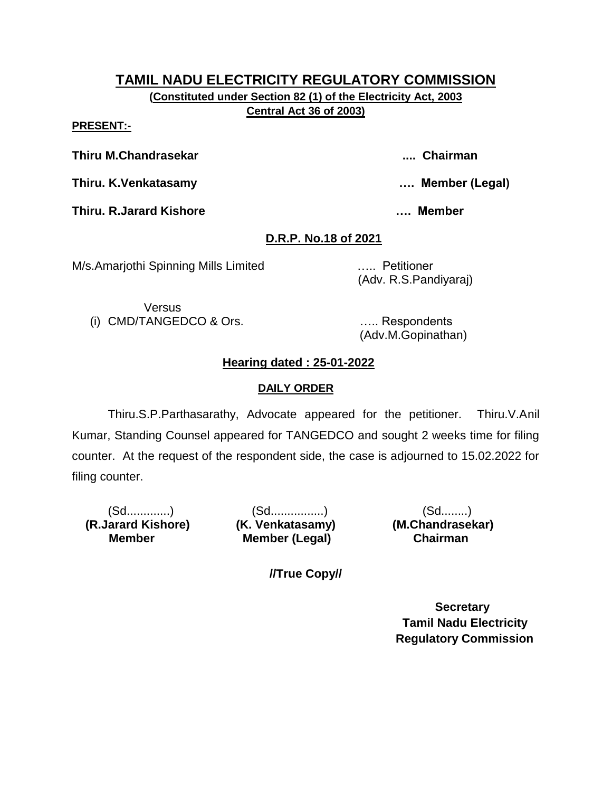**(Constituted under Section 82 (1) of the Electricity Act, 2003 Central Act 36 of 2003)**

**PRESENT:-**

**Thiru M.Chandrasekar .... Chairman**

**Thiru. K.Venkatasamy …. Member (Legal)**

**Thiru. R.Jarard Kishore …. Member** 

# **D.R.P. No.18 of 2021**

M/s.Amarjothi Spinning Mills Limited ….. Petitioner

(Adv. R.S.Pandiyaraj)

Versus (i) CMD/TANGEDCO & Ors. ….. Respondents

(Adv.M.Gopinathan)

# **Hearing dated : 25-01-2022**

## **DAILY ORDER**

Thiru.S.P.Parthasarathy, Advocate appeared for the petitioner. Thiru.V.Anil Kumar, Standing Counsel appeared for TANGEDCO and sought 2 weeks time for filing counter. At the request of the respondent side, the case is adjourned to 15.02.2022 for filing counter.

 **(R.Jarard Kishore) (K. Venkatasamy) (M.Chandrasekar) Member** 

(Sd.............) (Sd................) (Sd........) **Member (Legal) Chairman** 

**//True Copy//**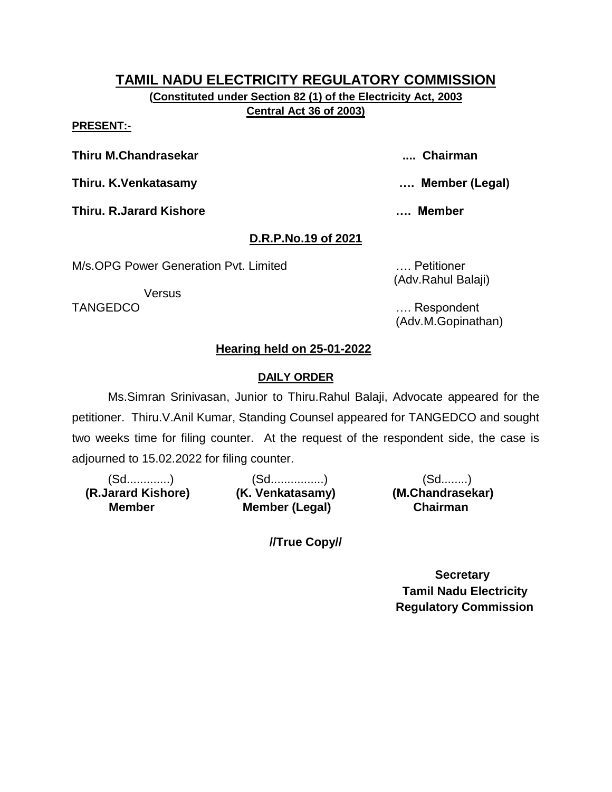**(Constituted under Section 82 (1) of the Electricity Act, 2003 Central Act 36 of 2003)**

#### **PRESENT:-**

**Thiru M.Chandrasekar .... Chairman**

**Thiru. K.Venkatasamy …. Member (Legal)**

**Thiru. R.Jarard Kishore …. Member** 

# **D.R.P.No.19 of 2021**

M/s.OPG Power Generation Pvt. Limited …. Petitioner

**Versus** 

(Adv.Rahul Balaji)

TANGEDCO …. Respondent (Adv.M.Gopinathan)

# **Hearing held on 25-01-2022**

## **DAILY ORDER**

Ms.Simran Srinivasan, Junior to Thiru.Rahul Balaji, Advocate appeared for the petitioner. Thiru.V.Anil Kumar, Standing Counsel appeared for TANGEDCO and sought two weeks time for filing counter. At the request of the respondent side, the case is adjourned to 15.02.2022 for filing counter.

 **(R.Jarard Kishore) (K. Venkatasamy) (M.Chandrasekar) Member** 

(Sd.............) (Sd................) (Sd........) **Member (Legal) Chairman** 

**//True Copy//**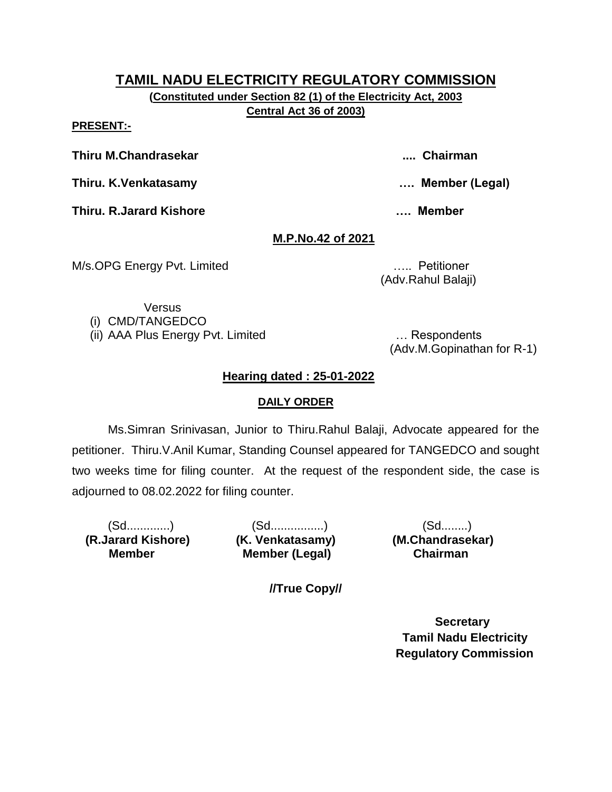**(Constituted under Section 82 (1) of the Electricity Act, 2003 Central Act 36 of 2003)**

**PRESENT:-**

**Thiru M.Chandrasekar .... Chairman**

**Thiru. K.Venkatasamy …. Member (Legal)**

**Thiru. R.Jarard Kishore …. Member** 

# **M.P.No.42 of 2021**

M/s.OPG Energy Pvt. Limited ….. Petitioner

(Adv.Rahul Balaji)

Versus

(i) CMD/TANGEDCO

(ii) AAA Plus Energy Pvt. Limited … Respondents

(Adv.M.Gopinathan for R-1)

# **Hearing dated : 25-01-2022**

## **DAILY ORDER**

Ms.Simran Srinivasan, Junior to Thiru.Rahul Balaji, Advocate appeared for the petitioner. Thiru.V.Anil Kumar, Standing Counsel appeared for TANGEDCO and sought two weeks time for filing counter. At the request of the respondent side, the case is adjourned to 08.02.2022 for filing counter.

 **(R.Jarard Kishore) (K. Venkatasamy) (M.Chandrasekar) Member** 

(Sd.............) (Sd................) (Sd........) **Member (Legal) Chairman** 

**//True Copy//**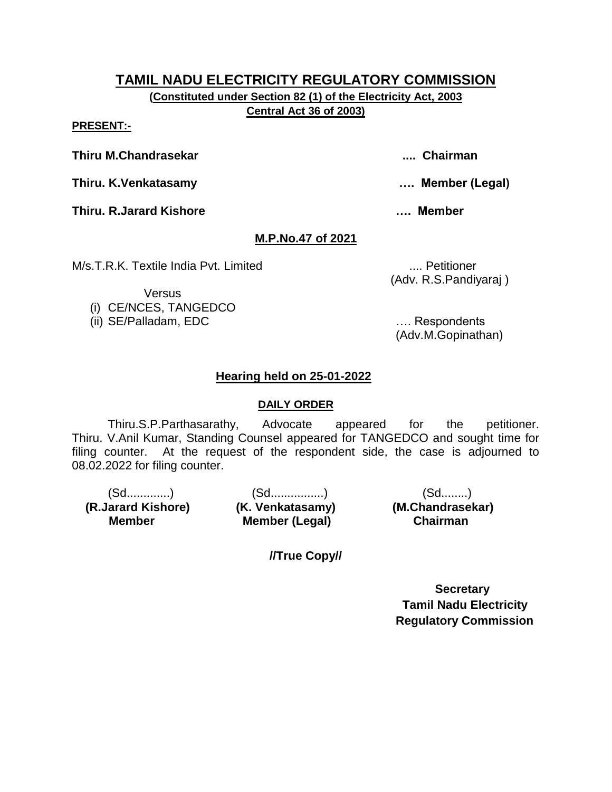**(Constituted under Section 82 (1) of the Electricity Act, 2003 Central Act 36 of 2003)**

#### **PRESENT:-**

**Thiru M.Chandrasekar .... Chairman**

**Thiru. K.Venkatasamy …. Member (Legal)**

**Thiru. R.Jarard Kishore …. Member** 

# **M.P.No.47 of 2021**

M/s.T.R.K. Textile India Pvt. Limited ..... **Mix. 1.1. Section** .... Petitioner

(Adv. R.S.Pandiyaraj )

**Versus** 

- (i) CE/NCES, TANGEDCO
- (ii) SE/Palladam, EDC …. Respondents

(Adv.M.Gopinathan)

## **Hearing held on 25-01-2022**

## **DAILY ORDER**

Thiru.S.P.Parthasarathy, Advocate appeared for the petitioner. Thiru. V.Anil Kumar, Standing Counsel appeared for TANGEDCO and sought time for filing counter. At the request of the respondent side, the case is adjourned to 08.02.2022 for filing counter.

(Sd.............) (Sd................) (Sd........)  **(R.Jarard Kishore) (K. Venkatasamy) (M.Chandrasekar) Member (Legal) Chairman Member** 

**//True Copy//**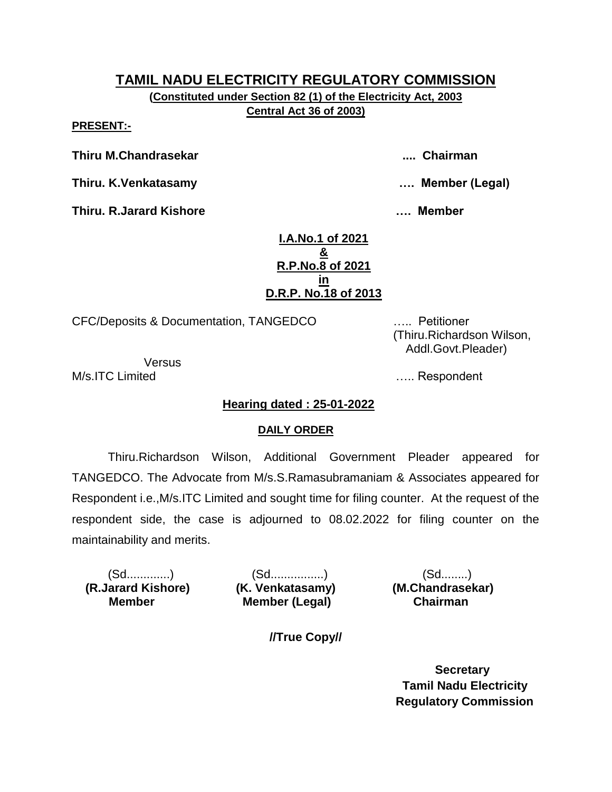**(Constituted under Section 82 (1) of the Electricity Act, 2003 Central Act 36 of 2003)**

**PRESENT:-**

**Thiru M.Chandrasekar .... Chairman**

**Thiru. K.Venkatasamy …. Member (Legal)**

**Thiru. R.Jarard Kishore …. Member** 

**I.A.No.1 of 2021 & R.P.No.8 of 2021 in D.R.P. No.18 of 2013**

CFC/Deposits & Documentation, TANGEDCO ….. Petitioner

**Versus** M/s.ITC Limited **M**/s.ITC Limited

 (Thiru.Richardson Wilson, Addl.Govt.Pleader)

**Hearing dated : 25-01-2022**

#### **DAILY ORDER**

Thiru.Richardson Wilson, Additional Government Pleader appeared for TANGEDCO. The Advocate from M/s.S.Ramasubramaniam & Associates appeared for Respondent i.e.,M/s.ITC Limited and sought time for filing counter. At the request of the respondent side, the case is adjourned to 08.02.2022 for filing counter on the maintainability and merits.

 **(R.Jarard Kishore) (K. Venkatasamy) (M.Chandrasekar) Member** 

(Sd.............) (Sd................) (Sd........) **Member (Legal) Chairman** 

**//True Copy//**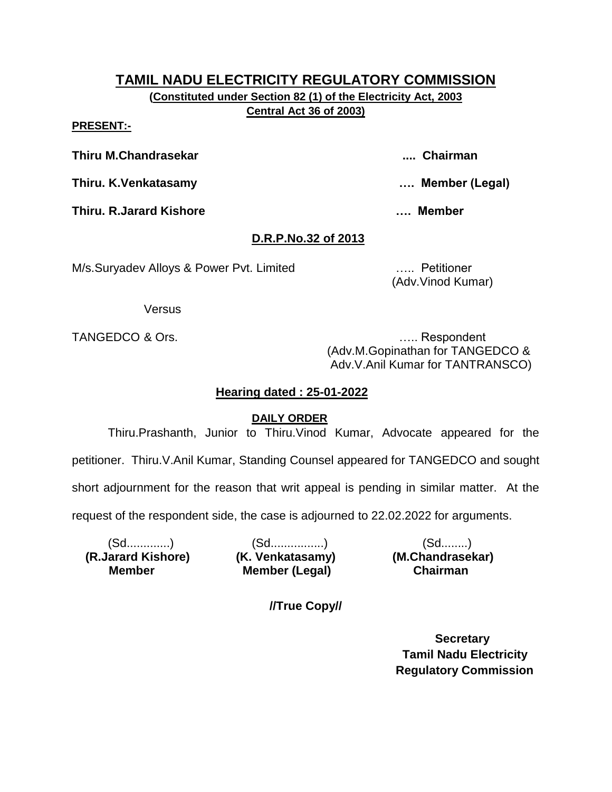**(Constituted under Section 82 (1) of the Electricity Act, 2003 Central Act 36 of 2003)**

#### **PRESENT:-**

**Thiru M.Chandrasekar .... Chairman**

**Thiru. K.Venkatasamy …. Member (Legal)**

**Thiru. R.Jarard Kishore …. Member** 

# **D.R.P.No.32 of 2013**

M/s.Suryadev Alloys & Power Pvt. Limited ….. Petitioner

(Adv.Vinod Kumar)

Versus

TANGEDCO & Ors. **Example 20** and the contract of the contract of the contract of the contract of the contract of the contract of the contract of the contract of the contract of the contract of the contract of the contract (Adv.M.Gopinathan for TANGEDCO & Adv.V.Anil Kumar for TANTRANSCO)

## **Hearing dated : 25-01-2022**

## **DAILY ORDER**

Thiru.Prashanth, Junior to Thiru.Vinod Kumar, Advocate appeared for the

petitioner. Thiru.V.Anil Kumar, Standing Counsel appeared for TANGEDCO and sought

short adjournment for the reason that writ appeal is pending in similar matter. At the

request of the respondent side, the case is adjourned to 22.02.2022 for arguments.

 **(R.Jarard Kishore) (K. Venkatasamy) (M.Chandrasekar) Member** 

(Sd.............) (Sd................) (Sd........) **Member (Legal) Chairman** 

**//True Copy//**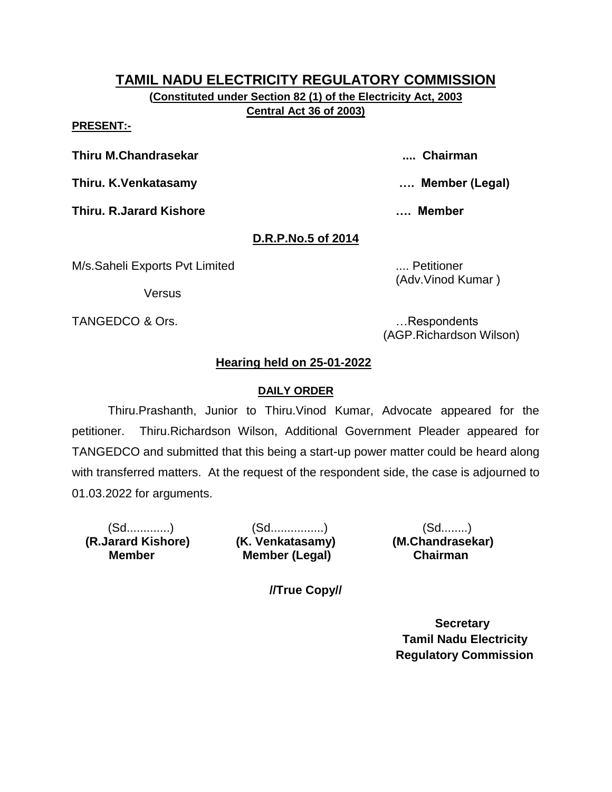**(Constituted under Section 82 (1) of the Electricity Act, 2003 Central Act 36 of 2003)**

**PRESENT:-**

**Thiru M.Chandrasekar .... Chairman**

**Thiru. K.Venkatasamy …. Member (Legal)**

**Thiru. R.Jarard Kishore …. Member** 

# **D.R.P.No.5 of 2014**

M/s.Saheli Exports Pvt Limited .... Petitioner

**Versus** 

TANGEDCO & Ors. **Example 20** and the contract of the contract of the contract of the contract of the contract of the contract of the contract of the contract of the contract of the contract of the contract of the contract

(Adv.Vinod Kumar )

(AGP.Richardson Wilson)

# **Hearing held on 25-01-2022**

## **DAILY ORDER**

Thiru.Prashanth, Junior to Thiru.Vinod Kumar, Advocate appeared for the petitioner. Thiru.Richardson Wilson, Additional Government Pleader appeared for TANGEDCO and submitted that this being a start-up power matter could be heard along with transferred matters. At the request of the respondent side, the case is adjourned to 01.03.2022 for arguments.

 **(R.Jarard Kishore) (K. Venkatasamy) (M.Chandrasekar) Member** 

(Sd.............) (Sd................) (Sd........) **Member (Legal) Chairman** 

**//True Copy//**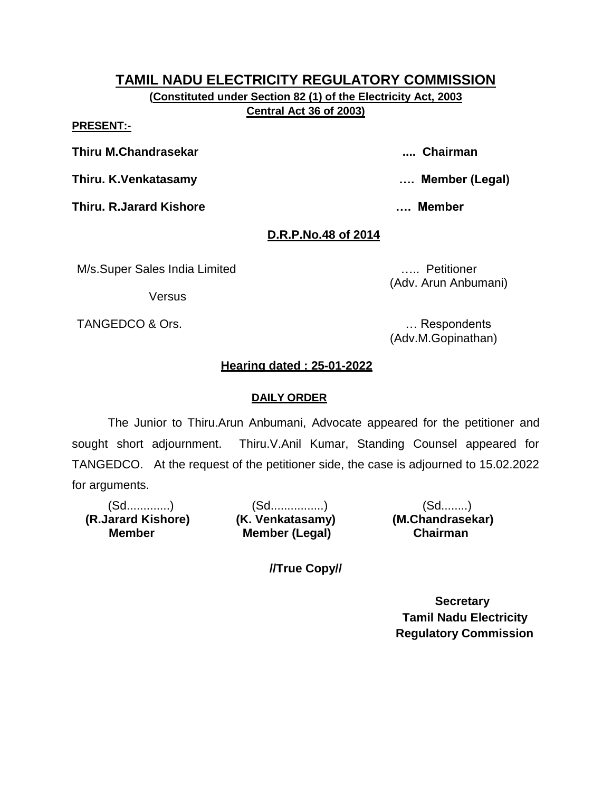**(Constituted under Section 82 (1) of the Electricity Act, 2003 Central Act 36 of 2003)**

**PRESENT:-**

**Thiru M.Chandrasekar .... Chairman**

**Thiru. K.Venkatasamy …. Member (Legal)**

**Thiru. R.Jarard Kishore …. Member** 

## **D.R.P.No.48 of 2014**

M/s.Super Sales India Limited ….. Petitioner

**Versus** 

TANGEDCO & Ors. **Example 20** and the contract of the contract of the contract of the contract of the contract of the contract of the contract of the contract of the contract of the contract of the contract of the contract

(Adv. Arun Anbumani)

(Adv.M.Gopinathan)

# **Hearing dated : 25-01-2022**

## **DAILY ORDER**

The Junior to Thiru.Arun Anbumani, Advocate appeared for the petitioner and sought short adjournment. Thiru.V.Anil Kumar, Standing Counsel appeared for TANGEDCO. At the request of the petitioner side, the case is adjourned to 15.02.2022 for arguments.

**Member** 

(Sd.............) (Sd................) (Sd........) **Member (Legal) Chairman** 

 **(R.Jarard Kishore) (K. Venkatasamy) (M.Chandrasekar)**

**//True Copy//**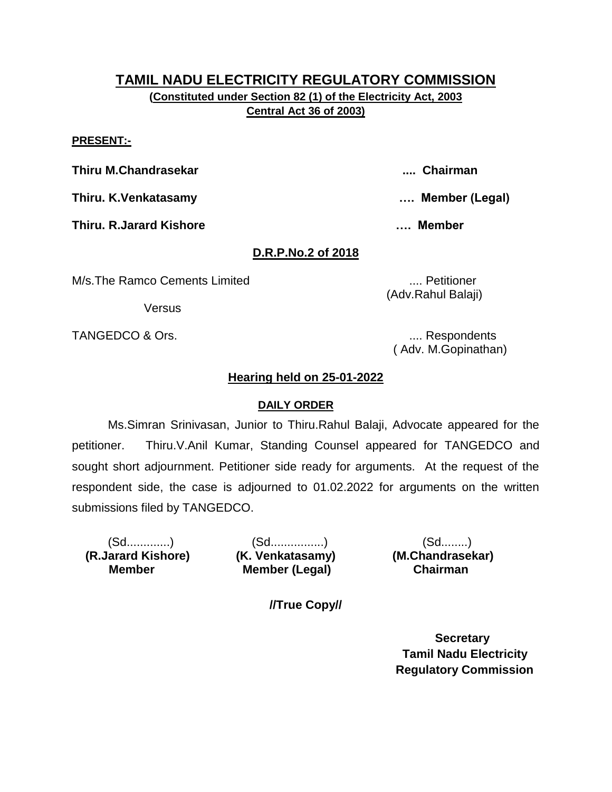**(Constituted under Section 82 (1) of the Electricity Act, 2003 Central Act 36 of 2003)**

#### **PRESENT:-**

**Thiru M.Chandrasekar .... Chairman**

**Thiru. K.Venkatasamy …. Member (Legal)**

**Thiru. R.Jarard Kishore …. Member** 

### **D.R.P.No.2 of 2018**

M/s.The Ramco Cements Limited .... Petitioner

**Versus** 

TANGEDCO & Ors. .... Respondents

( Adv. M.Gopinathan)

### **Hearing held on 25-01-2022**

#### **DAILY ORDER**

Ms.Simran Srinivasan, Junior to Thiru.Rahul Balaji, Advocate appeared for the petitioner. Thiru.V.Anil Kumar, Standing Counsel appeared for TANGEDCO and sought short adjournment. Petitioner side ready for arguments. At the request of the respondent side, the case is adjourned to 01.02.2022 for arguments on the written submissions filed by TANGEDCO.

 **(R.Jarard Kishore) (K. Venkatasamy) (M.Chandrasekar) Member** 

(Sd.............) (Sd................) (Sd........) **Member (Legal) Chairman** 

**//True Copy//**

 **Secretary Tamil Nadu Electricity Regulatory Commission**

(Adv.Rahul Balaji)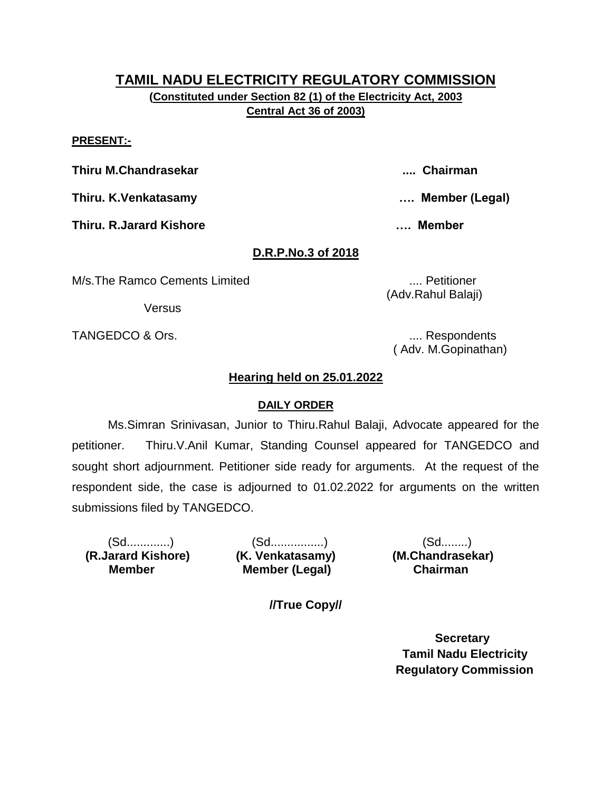**(Constituted under Section 82 (1) of the Electricity Act, 2003 Central Act 36 of 2003)**

#### **PRESENT:-**

**Thiru M.Chandrasekar .... Chairman**

**Thiru. K.Venkatasamy …. Member (Legal)**

**Thiru. R.Jarard Kishore …. Member** 

### **D.R.P.No.3 of 2018**

M/s.The Ramco Cements Limited .... Petitioner

**Versus** 

TANGEDCO & Ors. .... Respondents

( Adv. M.Gopinathan)

### **Hearing held on 25.01.2022**

#### **DAILY ORDER**

Ms.Simran Srinivasan, Junior to Thiru.Rahul Balaji, Advocate appeared for the petitioner. Thiru.V.Anil Kumar, Standing Counsel appeared for TANGEDCO and sought short adjournment. Petitioner side ready for arguments. At the request of the respondent side, the case is adjourned to 01.02.2022 for arguments on the written submissions filed by TANGEDCO.

 **(R.Jarard Kishore) (K. Venkatasamy) (M.Chandrasekar) Member** 

(Sd.............) (Sd................) (Sd........) **Member (Legal) Chairman** 

**//True Copy//**

 **Secretary Tamil Nadu Electricity Regulatory Commission**

(Adv.Rahul Balaji)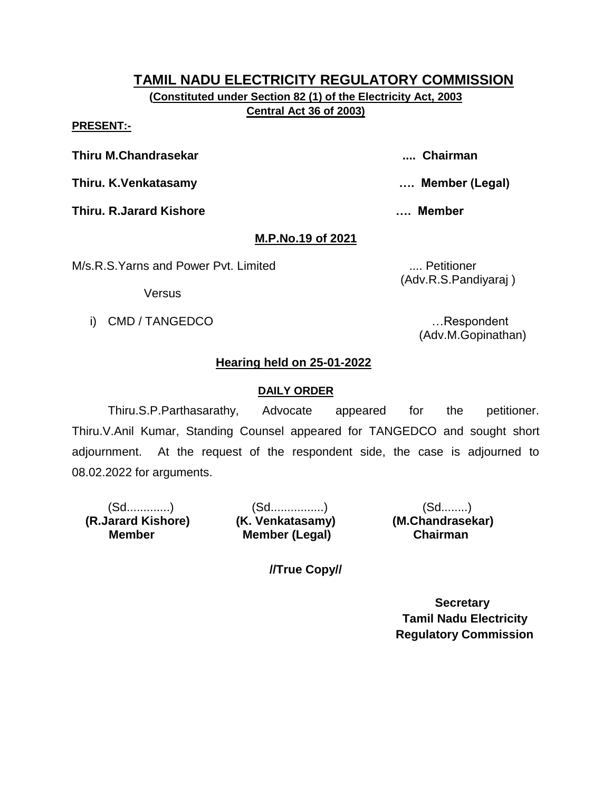**(Constituted under Section 82 (1) of the Electricity Act, 2003 Central Act 36 of 2003)**

**PRESENT:-**

**Thiru M.Chandrasekar .... Chairman**

**Thiru. K.Venkatasamy …. Member (Legal)**

**Thiru. R.Jarard Kishore …. Member** 

**M.P.No.19 of 2021**

M/s.R.S.Yarns and Power Pvt. Limited .... Petitioner

(Adv.R.S.Pandiyaraj )

Versus

i) CMD / TANGEDCO **in the set of the set of the set of the set of the set of the set of the set of the set of the set of the set of the set of the set of the set of the set of the set of the set of the set of the set of th** 

(Adv.M.Gopinathan)

# **Hearing held on 25-01-2022**

## **DAILY ORDER**

Thiru.S.P.Parthasarathy, Advocate appeared for the petitioner. Thiru.V.Anil Kumar, Standing Counsel appeared for TANGEDCO and sought short adjournment. At the request of the respondent side, the case is adjourned to 08.02.2022 for arguments.

 **(R.Jarard Kishore) (K. Venkatasamy) (M.Chandrasekar) Member** 

(Sd.............) (Sd................) (Sd........) **Member (Legal) Chairman** 

**//True Copy//**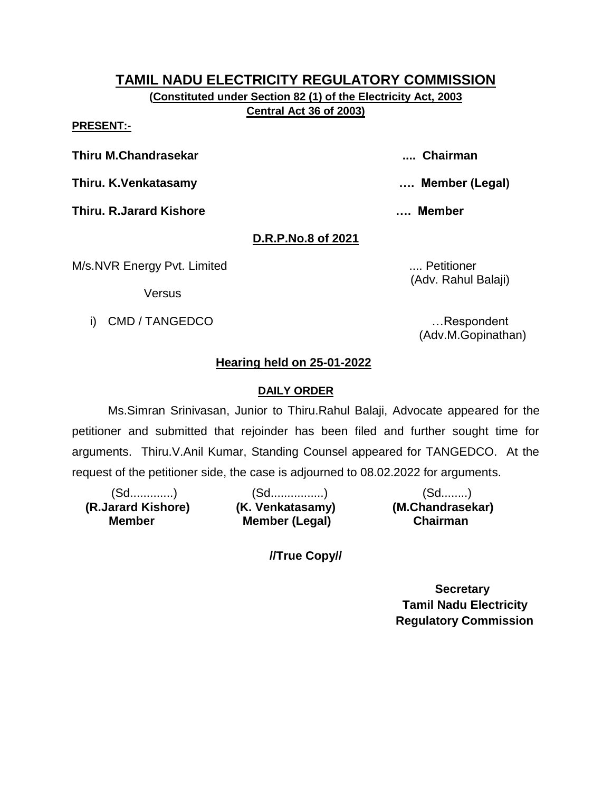**(Constituted under Section 82 (1) of the Electricity Act, 2003 Central Act 36 of 2003)**

**PRESENT:-**

**Thiru M.Chandrasekar .... Chairman**

**Thiru. K.Venkatasamy …. Member (Legal)**

**Thiru. R.Jarard Kishore …. Member** 

**D.R.P.No.8 of 2021**

M/s.NVR Energy Pvt. Limited ..... Petitioner

(Adv. Rahul Balaji)

**Versus** 

i) CMD / TANGEDCO **i** example the state of the state of the state of the state of the state of the state of the state of the state of the state of the state of the state of the state of the state of the state of the state

(Adv.M.Gopinathan)

# **Hearing held on 25-01-2022**

### **DAILY ORDER**

Ms.Simran Srinivasan, Junior to Thiru.Rahul Balaji, Advocate appeared for the petitioner and submitted that rejoinder has been filed and further sought time for arguments. Thiru.V.Anil Kumar, Standing Counsel appeared for TANGEDCO. At the request of the petitioner side, the case is adjourned to 08.02.2022 for arguments.

 **(R.Jarard Kishore) (K. Venkatasamy) (M.Chandrasekar) Member** 

(Sd.............) (Sd................) (Sd........) **Member (Legal) Chairman** 

**//True Copy//**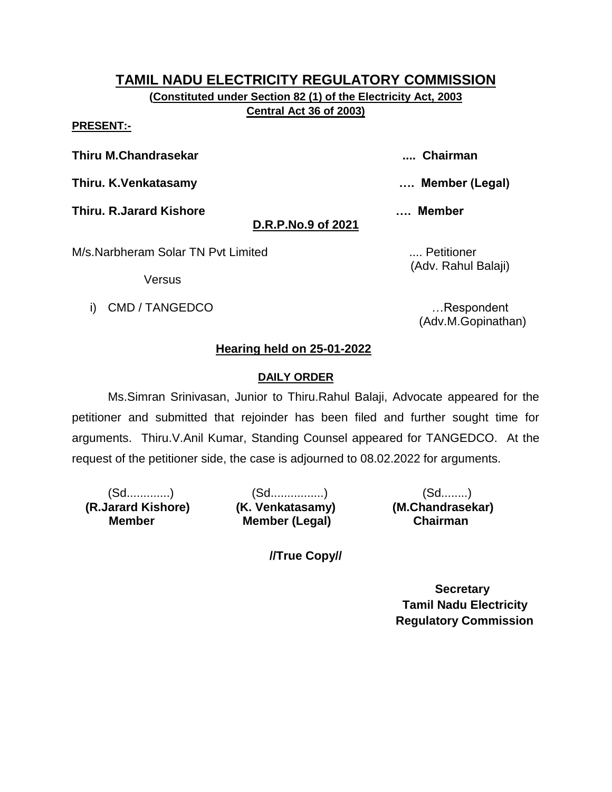**(Constituted under Section 82 (1) of the Electricity Act, 2003 Central Act 36 of 2003)**

**PRESENT:-**

**Thiru M.Chandrasekar .... Chairman**

**Thiru. K.Venkatasamy …. Member (Legal)**

**Thiru. R.Jarard Kishore …. Member** 

# **D.R.P.No.9 of 2021**

M/s.Narbheram Solar TN Pvt Limited ..... **Markon** .... Petitioner

Versus

i) CMD / TANGEDCO **i** and the set of the set of the set of the set of the set of the set of the set of the set of the set of the set of the set of the set of the set of the set of the set of the set of the set of the set o

(Adv. Rahul Balaji)

(Adv.M.Gopinathan)

# **Hearing held on 25-01-2022**

# **DAILY ORDER**

Ms.Simran Srinivasan, Junior to Thiru.Rahul Balaji, Advocate appeared for the petitioner and submitted that rejoinder has been filed and further sought time for arguments. Thiru.V.Anil Kumar, Standing Counsel appeared for TANGEDCO. At the request of the petitioner side, the case is adjourned to 08.02.2022 for arguments.

 **(R.Jarard Kishore) (K. Venkatasamy) (M.Chandrasekar) Member** 

(Sd.............) (Sd................) (Sd........) **Member (Legal) Chairman** 

**//True Copy//**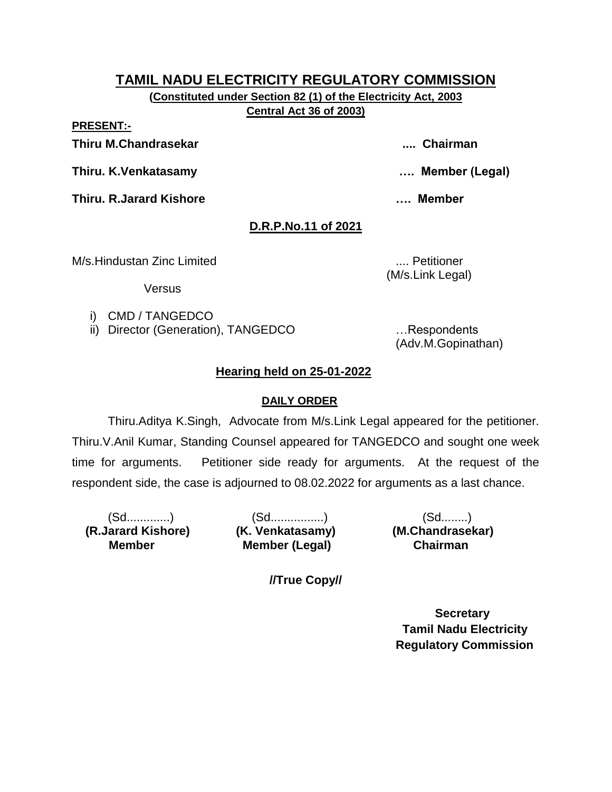**(Constituted under Section 82 (1) of the Electricity Act, 2003 Central Act 36 of 2003)**

**PRESENT:-**

**Thiru M.Chandrasekar .... Chairman**

**Thiru. K.Venkatasamy …. Member (Legal)**

**Thiru. R.Jarard Kishore …. Member** 

# **D.R.P.No.11 of 2021**

M/s.Hindustan Zinc Limited .... Petitioner

**Versus** 

(M/s.Link Legal)

i) CMD / TANGEDCO

ii) Director (Generation), TANGEDCO ... Respondents

(Adv.M.Gopinathan)

# **Hearing held on 25-01-2022**

## **DAILY ORDER**

Thiru.Aditya K.Singh, Advocate from M/s.Link Legal appeared for the petitioner. Thiru.V.Anil Kumar, Standing Counsel appeared for TANGEDCO and sought one week time for arguments. Petitioner side ready for arguments. At the request of the respondent side, the case is adjourned to 08.02.2022 for arguments as a last chance.

 **(R.Jarard Kishore) (K. Venkatasamy) (M.Chandrasekar) Member** 

(Sd.............) (Sd................) (Sd........) **Member (Legal) Chairman** 

**//True Copy//**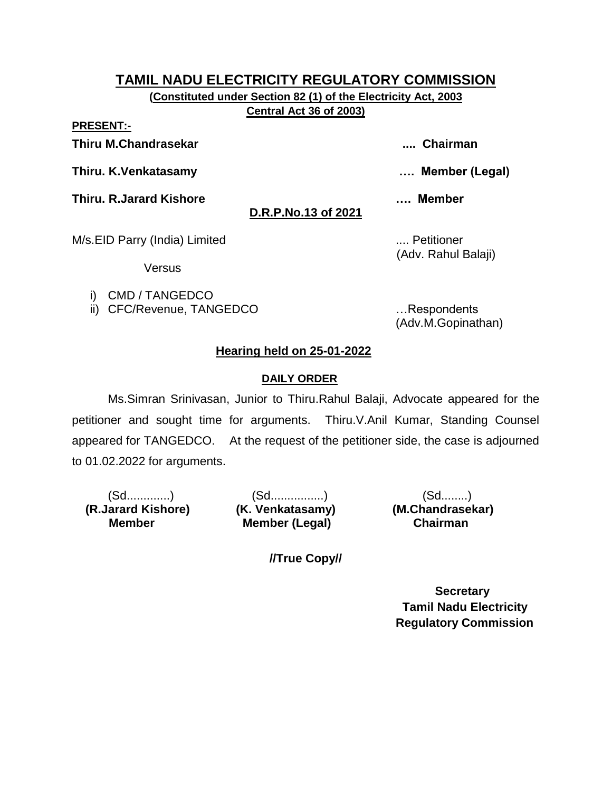**(Constituted under Section 82 (1) of the Electricity Act, 2003 Central Act 36 of 2003)**

**PRESENT:-**

**Thiru M.Chandrasekar .... Chairman**

**Thiru. K.Venkatasamy …. Member (Legal)**

**Thiru. R.Jarard Kishore …. Member** 

**D.R.P.No.13 of 2021**

M/s.EID Parry (India) Limited .... Petitioner

Versus

i) CMD / TANGEDCO

ii) CFC/Revenue, TANGEDCO …Respondents

(Adv. Rahul Balaji)

(Adv.M.Gopinathan)

# **Hearing held on 25-01-2022**

# **DAILY ORDER**

Ms.Simran Srinivasan, Junior to Thiru.Rahul Balaji, Advocate appeared for the petitioner and sought time for arguments. Thiru.V.Anil Kumar, Standing Counsel appeared for TANGEDCO. At the request of the petitioner side, the case is adjourned to 01.02.2022 for arguments.

 **(R.Jarard Kishore) (K. Venkatasamy) (M.Chandrasekar) Member** 

(Sd.............) (Sd................) (Sd........) **Member (Legal) Chairman** 

**//True Copy//**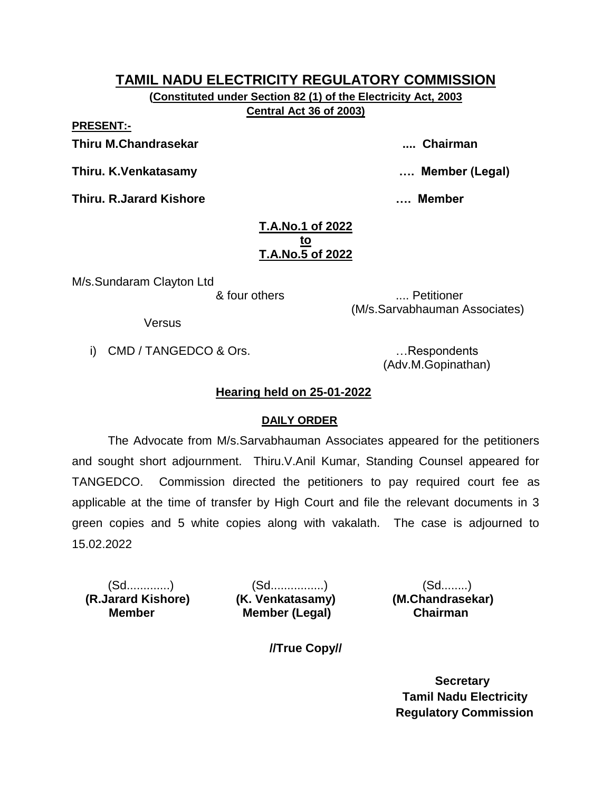**(Constituted under Section 82 (1) of the Electricity Act, 2003 Central Act 36 of 2003)**

**PRESENT:-**

**Thiru M.Chandrasekar .... Chairman**

**Thiru. K.Venkatasamy …. Member (Legal)**

**Thiru. R.Jarard Kishore …. Member** 

#### **T.A.No.1 of 2022 to T.A.No.5 of 2022**

M/s.Sundaram Clayton Ltd

& four others .... Petitioner (M/s.Sarvabhauman Associates)

Versus

i) CMD / TANGEDCO & Ors. **Example 20** in the second control of the second control of the second control of the second control of the second control of the second control of the second control of the second control of the s

(Adv.M.Gopinathan)

# **Hearing held on 25-01-2022**

# **DAILY ORDER**

The Advocate from M/s.Sarvabhauman Associates appeared for the petitioners and sought short adjournment. Thiru.V.Anil Kumar, Standing Counsel appeared for TANGEDCO. Commission directed the petitioners to pay required court fee as applicable at the time of transfer by High Court and file the relevant documents in 3 green copies and 5 white copies along with vakalath. The case is adjourned to 15.02.2022

 **(R.Jarard Kishore) (K. Venkatasamy) (M.Chandrasekar) Member** 

(Sd.............) (Sd................) (Sd........) **Member (Legal) Chairman** 

**//True Copy//**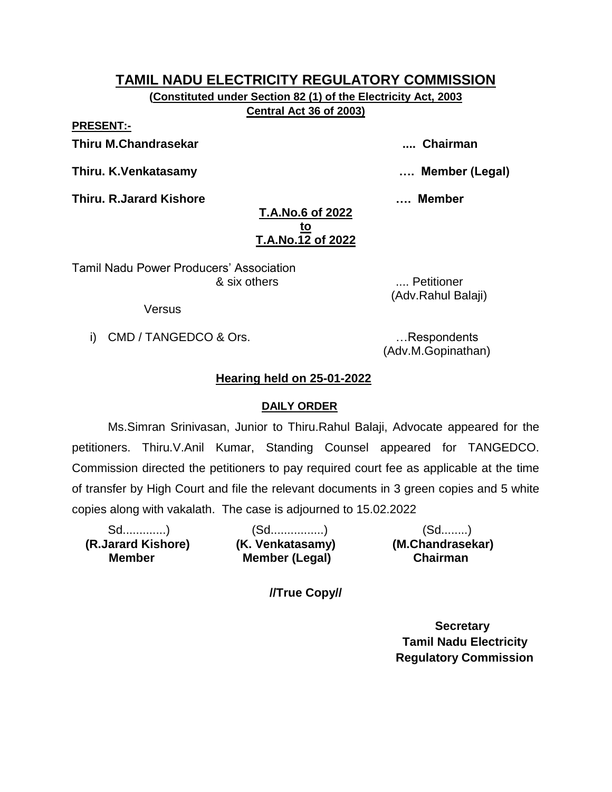**(Constituted under Section 82 (1) of the Electricity Act, 2003 Central Act 36 of 2003)**

**PRESENT:-**

**Thiru M.Chandrasekar .... Chairman**

**Thiru. K.Venkatasamy …. Member (Legal)**

**Thiru. R.Jarard Kishore …. Member** 

## **T.A.No.6 of 2022 to T.A.No.12 of 2022**

Tamil Nadu Power Producers' Association & six others .... Petitioner

**Versus** 

i) CMD / TANGEDCO & Ors. **Example 20** in the second control of the second control of the second control of the second control of the second control of the second control of the second control of the second control of the s

(Adv.M.Gopinathan)

(Adv.Rahul Balaji)

# **Hearing held on 25-01-2022**

## **DAILY ORDER**

Ms.Simran Srinivasan, Junior to Thiru.Rahul Balaji, Advocate appeared for the petitioners. Thiru.V.Anil Kumar, Standing Counsel appeared for TANGEDCO. Commission directed the petitioners to pay required court fee as applicable at the time of transfer by High Court and file the relevant documents in 3 green copies and 5 white copies along with vakalath. The case is adjourned to 15.02.2022

 **(R.Jarard Kishore) (K. Venkatasamy) (M.Chandrasekar) Member** 

Sd.............) (Sd................) (Sd........) **Member (Legal) Chairman** 

**//True Copy//**